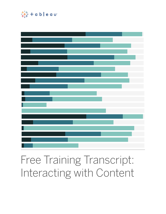

# Free Training Transcript: Interacting with Content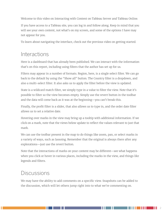Welcome to this video on Interacting with Content on Tableau Server and Tableau Online.

If you have access to a Tableau site, you can log in and follow along. Keep in mind that you will see your own content, not what's on my screen, and some of the options I have may not appear for you.

To learn about navigating the interface, check out the previous video on getting started.

#### **Interactions**

Here is a dashboard that has already been published. We can interact with the information that's on this report, including using filters that the author has set up for us.

Filters may appear in a number of formats. Region, here, is a single select filter. We can go back to the default by using the "Show all" button. The Country filter is a dropdown, and also a multi-select filter. It also asks us to apply the filter before the view is updated.

State is a wildcard match filter, we simply type in a value to filter the view. Note that it's possible to filter so the view becomes empty. Simply use the revert button in the toolbar and the data will come back as it was at the beginning—you can't break this.

Finally, the profit filter is a slider, that also allows us to type in, and the order date filter allows us to set a relative date.

Hovering over marks in the view may bring up a tooltip with additional information. If we click on a mark, note that the views below update to reflect the values relevant to just that mark.

We can use the toolbar present in the map to do things like zoom, pan, or select marks in a variety of ways, such as lassoing. Remember that the original is always there after any explorations—just use the revert button.

Note that the interactions of marks on your content may be different—see what happens when you click or hover in various places, including the marks in the view, and things likr legends and filters.

### **Discussions**

We may have the ability to add comments on a specific view. Snapshots can be added to the discussion, which will let others jump right into to what we're commenting on.

. . . . . . . . . .